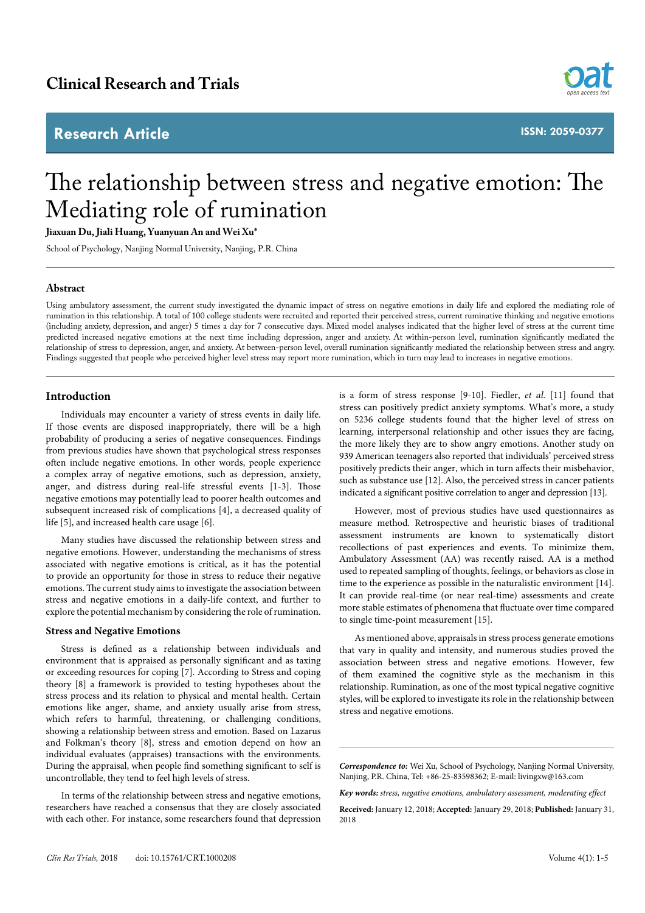# **Research Article**



**ISSN: 2059-0377**

# The relationship between stress and negative emotion: The Mediating role of rumination

**Jiaxuan Du, Jiali Huang, Yuanyuan An and Wei Xu\***

School of Psychology, Nanjing Normal University, Nanjing, P.R. China

#### **Abstract**

Using ambulatory assessment, the current study investigated the dynamic impact of stress on negative emotions in daily life and explored the mediating role of rumination in this relationship. A total of 100 college students were recruited and reported their perceived stress, current ruminative thinking and negative emotions (including anxiety, depression, and anger) 5 times a day for 7 consecutive days. Mixed model analyses indicated that the higher level of stress at the current time predicted increased negative emotions at the next time including depression, anger and anxiety. At within-person level, rumination significantly mediated the relationship of stress to depression, anger, and anxiety. At between-person level, overall rumination significantly mediated the relationship between stress and angry. Findings suggested that people who perceived higher level stress may report more rumination, which in turn may lead to increases in negative emotions.

# **Introduction**

Individuals may encounter a variety of stress events in daily life. If those events are disposed inappropriately, there will be a high probability of producing a series of negative consequences. Findings from previous studies have shown that psychological stress responses often include negative emotions. In other words, people experience a complex array of negative emotions, such as depression, anxiety, anger, and distress during real-life stressful events [1-3]. Those negative emotions may potentially lead to poorer health outcomes and subsequent increased risk of complications [4], a decreased quality of life [5], and increased health care usage [6].

Many studies have discussed the relationship between stress and negative emotions. However, understanding the mechanisms of stress associated with negative emotions is critical, as it has the potential to provide an opportunity for those in stress to reduce their negative emotions. The current study aims to investigate the association between stress and negative emotions in a daily-life context, and further to explore the potential mechanism by considering the role of rumination.

#### **Stress and Negative Emotions**

Stress is defined as a relationship between individuals and environment that is appraised as personally significant and as taxing or exceeding resources for coping [7]. According to Stress and coping theory [8] a framework is provided to testing hypotheses about the stress process and its relation to physical and mental health. Certain emotions like anger, shame, and anxiety usually arise from stress, which refers to harmful, threatening, or challenging conditions, showing a relationship between stress and emotion. Based on Lazarus and Folkman's theory [8], stress and emotion depend on how an individual evaluates (appraises) transactions with the environments. During the appraisal, when people find something significant to self is uncontrollable, they tend to feel high levels of stress.

In terms of the relationship between stress and negative emotions, researchers have reached a consensus that they are closely associated with each other. For instance, some researchers found that depression

is a form of stress response [9-10]. Fiedler, *et al.* [11] found that stress can positively predict anxiety symptoms. What's more, a study on 5236 college students found that the higher level of stress on learning, interpersonal relationship and other issues they are facing, the more likely they are to show angry emotions. Another study on 939 American teenagers also reported that individuals' perceived stress positively predicts their anger, which in turn affects their misbehavior, such as substance use [12]. Also, the perceived stress in cancer patients indicated a significant positive correlation to anger and depression [13].

However, most of previous studies have used questionnaires as measure method. Retrospective and heuristic biases of traditional assessment instruments are known to systematically distort recollections of past experiences and events. To minimize them, Ambulatory Assessment (AA) was recently raised. AA is a method used to repeated sampling of thoughts, feelings, or behaviors as close in time to the experience as possible in the naturalistic environment [14]. It can provide real-time (or near real-time) assessments and create more stable estimates of phenomena that fluctuate over time compared to single time-point measurement [15].

As mentioned above, appraisals in stress process generate emotions that vary in quality and intensity, and numerous studies proved the association between stress and negative emotions. However, few of them examined the cognitive style as the mechanism in this relationship. Rumination, as one of the most typical negative cognitive styles, will be explored to investigate its role in the relationship between stress and negative emotions.

*Correspondence to:* Wei Xu, School of Psychology, Nanjing Normal University, Nanjing, P.R. China, Tel: +86-25-83598362; E-mail: livingxw@163.com

*Key words: stress, negative emotions, ambulatory assessment, moderating effect*

**Received:** January 12, 2018; **Accepted:** January 29, 2018; **Published:** January 31, 2018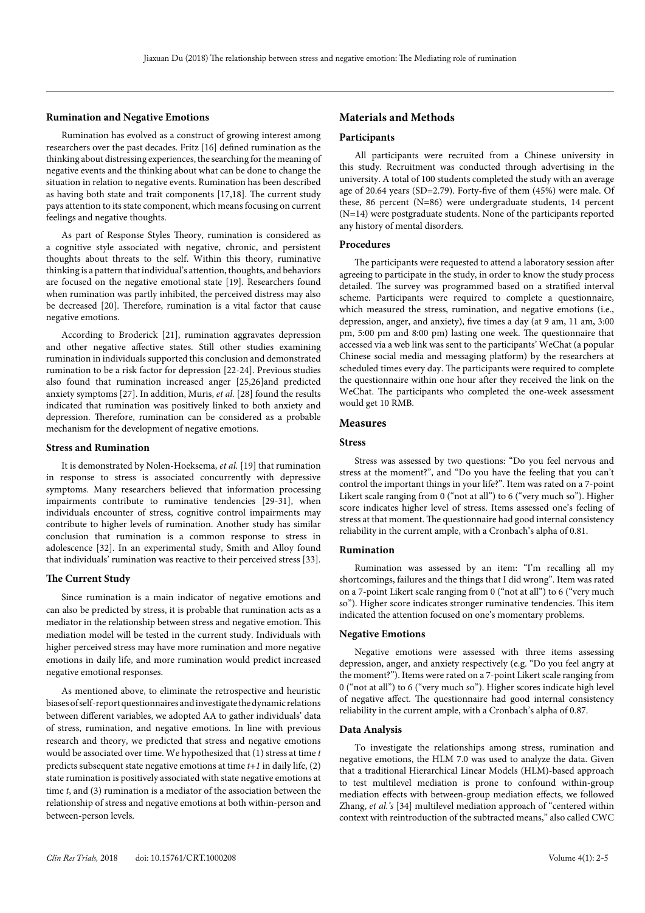#### **Rumination and Negative Emotions**

Rumination has evolved as a construct of growing interest among researchers over the past decades. Fritz [16] defined rumination as the thinking about distressing experiences, the searching for the meaning of negative events and the thinking about what can be done to change the situation in relation to negative events. Rumination has been described as having both state and trait components [17,18]. The current study pays attention to its state component, which means focusing on current feelings and negative thoughts.

As part of Response Styles Theory, rumination is considered as a cognitive style associated with negative, chronic, and persistent thoughts about threats to the self. Within this theory, ruminative thinking is a pattern that individual's attention, thoughts, and behaviors are focused on the negative emotional state [19]. Researchers found when rumination was partly inhibited, the perceived distress may also be decreased [20]. Therefore, rumination is a vital factor that cause negative emotions.

According to Broderick [21], rumination aggravates depression and other negative affective states. Still other studies examining rumination in individuals supported this conclusion and demonstrated rumination to be a risk factor for depression [22-24]. Previous studies also found that rumination increased anger [25,26]and predicted anxiety symptoms [27]. In addition, Muris, *et al.* [28] found the results indicated that rumination was positively linked to both anxiety and depression. Therefore, rumination can be considered as a probable mechanism for the development of negative emotions.

#### **Stress and Rumination**

It is demonstrated by Nolen-Hoeksema, *et al.* [19] that rumination in response to stress is associated concurrently with depressive symptoms. Many researchers believed that information processing impairments contribute to ruminative tendencies [29-31], when individuals encounter of stress, cognitive control impairments may contribute to higher levels of rumination. Another study has similar conclusion that rumination is a common response to stress in adolescence [32]. In an experimental study, Smith and Alloy found that individuals' rumination was reactive to their perceived stress [33].

#### **The Current Study**

Since rumination is a main indicator of negative emotions and can also be predicted by stress, it is probable that rumination acts as a mediator in the relationship between stress and negative emotion. This mediation model will be tested in the current study. Individuals with higher perceived stress may have more rumination and more negative emotions in daily life, and more rumination would predict increased negative emotional responses.

As mentioned above, to eliminate the retrospective and heuristic biases of self-report questionnaires and investigate the dynamic relations between different variables, we adopted AA to gather individuals' data of stress, rumination, and negative emotions. In line with previous research and theory, we predicted that stress and negative emotions would be associated over time. We hypothesized that (1) stress at time *t* predicts subsequent state negative emotions at time *t+1* in daily life, (2) state rumination is positively associated with state negative emotions at time *t*, and (3) rumination is a mediator of the association between the relationship of stress and negative emotions at both within-person and between-person levels.

# **Materials and Methods**

#### **Participants**

All participants were recruited from a Chinese university in this study. Recruitment was conducted through advertising in the university. A total of 100 students completed the study with an average age of 20.64 years (SD=2.79). Forty-five of them (45%) were male. Of these, 86 percent (N=86) were undergraduate students, 14 percent (N=14) were postgraduate students. None of the participants reported any history of mental disorders.

#### **Procedures**

The participants were requested to attend a laboratory session after agreeing to participate in the study, in order to know the study process detailed. The survey was programmed based on a stratified interval scheme. Participants were required to complete a questionnaire, which measured the stress, rumination, and negative emotions (i.e., depression, anger, and anxiety), five times a day (at 9 am, 11 am, 3:00 pm, 5:00 pm and 8:00 pm) lasting one week. The questionnaire that accessed via a web link was sent to the participants' WeChat (a popular Chinese social media and messaging platform) by the researchers at scheduled times every day. The participants were required to complete the questionnaire within one hour after they received the link on the WeChat. The participants who completed the one-week assessment would get 10 RMB.

# **Measures**

#### **Stress**

Stress was assessed by two questions: "Do you feel nervous and stress at the moment?", and "Do you have the feeling that you can't control the important things in your life?". Item was rated on a 7-point Likert scale ranging from 0 ("not at all") to 6 ("very much so"). Higher score indicates higher level of stress. Items assessed one's feeling of stress at that moment. The questionnaire had good internal consistency reliability in the current ample, with a Cronbach's alpha of 0.81.

#### **Rumination**

Rumination was assessed by an item: "I'm recalling all my shortcomings, failures and the things that I did wrong". Item was rated on a 7-point Likert scale ranging from 0 ("not at all") to 6 ("very much so"). Higher score indicates stronger ruminative tendencies. This item indicated the attention focused on one's momentary problems.

#### **Negative Emotions**

Negative emotions were assessed with three items assessing depression, anger, and anxiety respectively (e.g. "Do you feel angry at the moment?"). Items were rated on a 7-point Likert scale ranging from 0 ("not at all") to 6 ("very much so"). Higher scores indicate high level of negative affect. The questionnaire had good internal consistency reliability in the current ample, with a Cronbach's alpha of 0.87.

#### **Data Analysis**

To investigate the relationships among stress, rumination and negative emotions, the HLM 7.0 was used to analyze the data. Given that a traditional Hierarchical Linear Models (HLM)-based approach to test multilevel mediation is prone to confound within-group mediation effects with between-group mediation effects, we followed Zhang, *et al.'s* [34] multilevel mediation approach of "centered within context with reintroduction of the subtracted means," also called CWC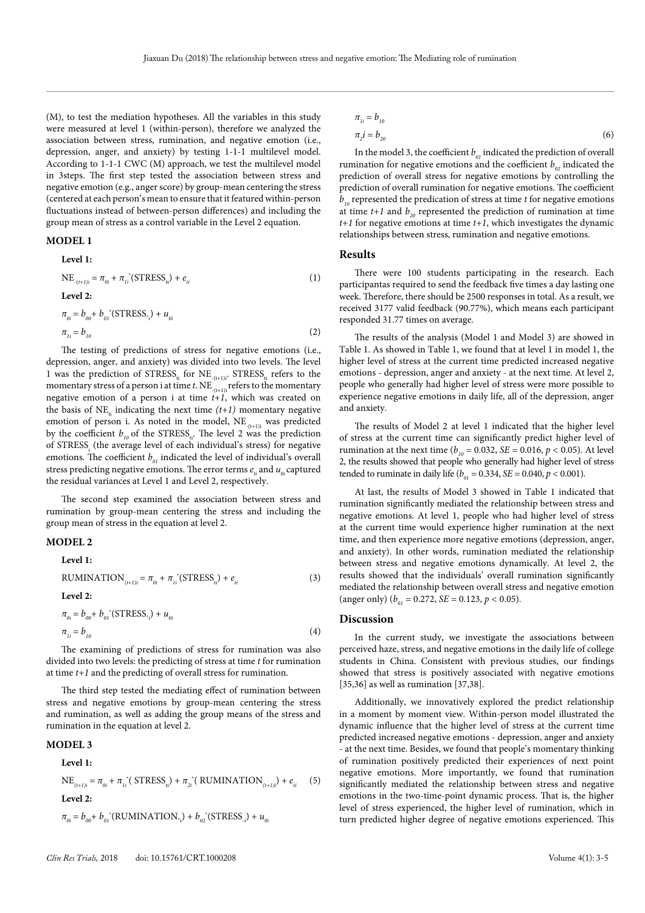(M), to test the mediation hypotheses. All the variables in this study were measured at level 1 (within-person), therefore we analyzed the association between stress, rumination, and negative emotion (i.e., depression, anger, and anxiety) by testing 1-1-1 multilevel model. According to 1-1-1 CWC (M) approach, we test the multilevel model in 3steps. The first step tested the association between stress and negative emotion (e.g., anger score) by group-mean centering the stress (centered at each person's mean to ensure that it featured within-person fluctuations instead of between-person differences) and including the group mean of stress as a control variable in the Level 2 equation.

# **MODEL 1 Level 1:**

NE<sub>-(t+1)i</sub> = 
$$
\pi_{0i} + \pi_{1i}^{\dagger}(\text{STRESS}_{ti}) + e_{ti}
$$
  
\nLevel 2:  
\n
$$
\pi_{0i} = b_{00} + b_{0i}^{\dagger}(\text{STRESS}_{ti}) + u_{0i}
$$
\n(1)

 $\pi_{ij} = b_{10}$  (2)

The testing of predictions of stress for negative emotions (i.e., depression, anger, and anxiety) was divided into two levels. The level 1 was the prediction of  $STRESS_{ti}$  for  $NE_{-(t+1)i}$ .  $STRESS_{ti}$  refers to the momentary stress of a person i at time *t*. NE<sub> $(t+1)$ i refers to the momentary</sub> negative emotion of a person i at time  $t+1$ , which was created on the basis of NE<sub>i</sub> indicating the next time  $(t+1)$  momentary negative emotion of person i. As noted in the model,  $NE$ <sub>(t+1)i</sub> was predicted by the coefficient  $b_{10}$  of the STRESS<sub>ii</sub>. The level 2 was the prediction of STRESS $_{\rm i}$  (the average level of each individual's stress) for negative emotions. The coefficient  $b_{01}$  indicated the level of individual's overall stress predicting negative emotions. The error terms  $e_i$  and  $u_{0i}$  captured the residual variances at Level 1 and Level 2, respectively.

The second step examined the association between stress and rumination by group-mean centering the stress and including the group mean of stress in the equation at level 2.

# **MODEL 2**

**Level 1:**

 $RUMINATION_{(t+1)i} = \pi_{0i} + \pi_{1i}^*(STRESS_{ti}) + e_{ti}$  (3) **Level 2:**

$$
\pi_{0i} = b_{00} + b_{0i}^* (\text{STRESS}_{\cdot i}) + u_{0i} \n\pi_{1i} = b_{10}
$$
\n(4)

The examining of predictions of stress for rumination was also divided into two levels: the predicting of stress at time *t* for rumination at time *t+1* and the predicting of overall stress for rumination.

The third step tested the mediating effect of rumination between stress and negative emotions by group-mean centering the stress and rumination, as well as adding the group means of the stress and rumination in the equation at level 2.

#### **MODEL 3**

Level 1:

\n
$$
NE_{(t+1)i} = \pi_{0i} + \pi_{1i}^*(\text{STRESS}_{ti}) + \pi_{2i}^*(\text{RUMINATION}_{(t+1)i}) + e_{ti} \quad (5)
$$
\nLevel 2:

$$
\pi_{oi} = b_{oo} + b_{oi} (\text{RUMINATION.}) + b_{oi} (\text{STRESS.}) + u_{oi}
$$

$$
\pi_{1i} = b_{10}
$$
  
\n
$$
\pi_2 i = b_{20}
$$
\n(6)

In the model 3, the coefficient  $b_{01}$  indicated the prediction of overall rumination for negative emotions and the coefficient  $b_{02}$  indicated the prediction of overall stress for negative emotions by controlling the prediction of overall rumination for negative emotions. The coefficient  $b_{10}$  represented the predication of stress at time  $t$  for negative emotions at time  $t+1$  and  $b_{20}$  represented the prediction of rumination at time *t+1* for negative emotions at time *t+1*, which investigates the dynamic relationships between stress, rumination and negative emotions.

#### **Results**

There were 100 students participating in the research. Each participantas required to send the feedback five times a day lasting one week. Therefore, there should be 2500 responses in total. As a result, we received 3177 valid feedback (90.77%), which means each participant responded 31.77 times on average.

The results of the analysis (Model 1 and Model 3) are showed in Table 1. As showed in Table 1, we found that at level 1 in model 1, the higher level of stress at the current time predicted increased negative emotions - depression, anger and anxiety - at the next time. At level 2, people who generally had higher level of stress were more possible to experience negative emotions in daily life, all of the depression, anger and anxiety.

The results of Model 2 at level 1 indicated that the higher level of stress at the current time can significantly predict higher level of rumination at the next time ( $b_{10} = 0.032$ , *SE* = 0.016, *p* < 0.05). At level 2, the results showed that people who generally had higher level of stress tended to ruminate in daily life ( $b_{01} = 0.334$ , *SE* = 0.040, *p* < 0.001).

At last, the results of Model 3 showed in Table 1 indicated that rumination significantly mediated the relationship between stress and negative emotions. At level 1, people who had higher level of stress at the current time would experience higher rumination at the next time, and then experience more negative emotions (depression, anger, and anxiety). In other words, rumination mediated the relationship between stress and negative emotions dynamically. At level 2, the results showed that the individuals' overall rumination significantly mediated the relationship between overall stress and negative emotion (anger only) ( $b_{01} = 0.272$ , *SE* = 0.123, *p* < 0.05).

#### **Discussion**

In the current study, we investigate the associations between perceived haze, stress, and negative emotions in the daily life of college students in China. Consistent with previous studies, our findings showed that stress is positively associated with negative emotions [35,36] as well as rumination [37,38].

Additionally, we innovatively explored the predict relationship in a moment by moment view. Within-person model illustrated the dynamic influence that the higher level of stress at the current time predicted increased negative emotions - depression, anger and anxiety - at the next time. Besides, we found that people's momentary thinking of rumination positively predicted their experiences of next point negative emotions. More importantly, we found that rumination significantly mediated the relationship between stress and negative emotions in the two-time-point dynamic process. That is, the higher level of stress experienced, the higher level of rumination, which in turn predicted higher degree of negative emotions experienced. This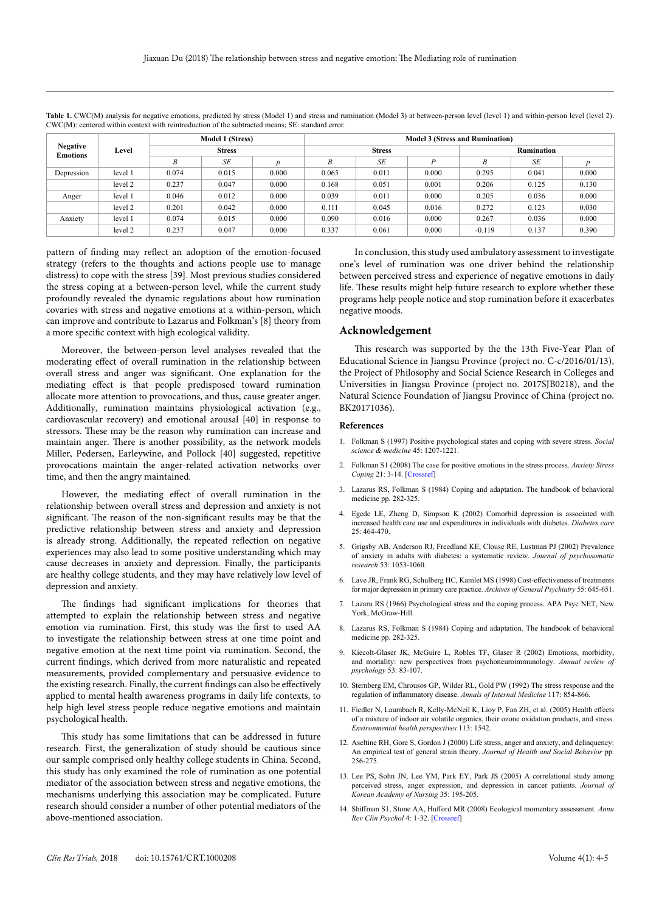| <b>Negative</b><br><b>Emotions</b> | Level   | <b>Model 1 (Stress)</b><br><b>Stress</b> |       |                  | <b>Model 3 (Stress and Rumination)</b> |       |       |            |       |       |
|------------------------------------|---------|------------------------------------------|-------|------------------|----------------------------------------|-------|-------|------------|-------|-------|
|                                    |         |                                          |       |                  | <b>Stress</b>                          |       |       | Rumination |       |       |
|                                    |         | B                                        | SE    | $\boldsymbol{n}$ | B                                      | SE    | D     | B          | SE    |       |
| Depression                         | level 1 | 0.074                                    | 0.015 | 0.000            | 0.065                                  | 0.011 | 0.000 | 0.295      | 0.041 | 0.000 |
|                                    | level 2 | 0.237                                    | 0.047 | 0.000            | 0.168                                  | 0.051 | 0.001 | 0.206      | 0.125 | 0.130 |
| Anger                              | level 1 | 0.046                                    | 0.012 | 0.000            | 0.039                                  | 0.011 | 0.000 | 0.205      | 0.036 | 0.000 |
|                                    | level 2 | 0.201                                    | 0.042 | 0.000            | 0.111                                  | 0.045 | 0.016 | 0.272      | 0.123 | 0.030 |
| Anxiety                            | level 1 | 0.074                                    | 0.015 | 0.000            | 0.090                                  | 0.016 | 0.000 | 0.267      | 0.036 | 0.000 |
|                                    | level 2 | 0.237                                    | 0.047 | 0.000            | 0.337                                  | 0.061 | 0.000 | $-0.119$   | 0.137 | 0.390 |

Table 1. CWC(M) analysis for negative emotions, predicted by stress (Model 1) and stress and rumination (Model 3) at between-person level (level 1) and within-person level (level 2). CWC(M): centered within context with reintroduction of the subtracted means; SE: standard error.

pattern of finding may reflect an adoption of the emotion-focused strategy (refers to the thoughts and actions people use to manage distress) to cope with the stress [39]. Most previous studies considered the stress coping at a between-person level, while the current study profoundly revealed the dynamic regulations about how rumination covaries with stress and negative emotions at a within-person, which can improve and contribute to Lazarus and Folkman's [8] theory from a more specific context with high ecological validity.

Moreover, the between-person level analyses revealed that the moderating effect of overall rumination in the relationship between overall stress and anger was significant. One explanation for the mediating effect is that people predisposed toward rumination allocate more attention to provocations, and thus, cause greater anger. Additionally, rumination maintains physiological activation (e.g., cardiovascular recovery) and emotional arousal [40] in response to stressors. These may be the reason why rumination can increase and maintain anger. There is another possibility, as the network models Miller, Pedersen, Earleywine, and Pollock [40] suggested, repetitive provocations maintain the anger-related activation networks over time, and then the angry maintained.

However, the mediating effect of overall rumination in the relationship between overall stress and depression and anxiety is not significant. The reason of the non-significant results may be that the predictive relationship between stress and anxiety and depression is already strong. Additionally, the repeated reflection on negative experiences may also lead to some positive understanding which may cause decreases in anxiety and depression. Finally, the participants are healthy college students, and they may have relatively low level of depression and anxiety.

The findings had significant implications for theories that attempted to explain the relationship between stress and negative emotion via rumination. First, this study was the first to used AA to investigate the relationship between stress at one time point and negative emotion at the next time point via rumination. Second, the current findings, which derived from more naturalistic and repeated measurements, provided complementary and persuasive evidence to the existing research. Finally, the current findings can also be effectively applied to mental health awareness programs in daily life contexts, to help high level stress people reduce negative emotions and maintain psychological health.

This study has some limitations that can be addressed in future research. First, the generalization of study should be cautious since our sample comprised only healthy college students in China. Second, this study has only examined the role of rumination as one potential mediator of the association between stress and negative emotions, the mechanisms underlying this association may be complicated. Future research should consider a number of other potential mediators of the above-mentioned association.

In conclusion, this study used ambulatory assessment to investigate one's level of rumination was one driver behind the relationship between perceived stress and experience of negative emotions in daily life. These results might help future research to explore whether these programs help people notice and stop rumination before it exacerbates negative moods.

# **Acknowledgement**

This research was supported by the the 13th Five-Year Plan of Educational Science in Jiangsu Province (project no. C-c/2016/01/13), the Project of Philosophy and Social Science Research in Colleges and Universities in Jiangsu Province (project no. 2017SJB0218), and the Natural Science Foundation of Jiangsu Province of China (project no. BK20171036).

#### **References**

- 1. Folkman S (1997) Positive psychological states and coping with severe stress. *Social science & medicine* 45: 1207-1221.
- 2. Folkman S1 (2008) The case for positive emotions in the stress process. *Anxiety Stress Coping* 21: 3-14. [\[Crossref\]](http://www.ncbi.nlm.nih.gov/pubmed/18027121)
- 3. Lazarus RS, Folkman S (1984) Coping and adaptation. The handbook of behavioral medicine pp. 282-325.
- 4. Egede LE, Zheng D, Simpson K (2002) Comorbid depression is associated with increased health care use and expenditures in individuals with diabetes. *Diabetes care* 25: 464-470.
- 5. Grigsby AB, Anderson RJ, Freedland KE, Clouse RE, Lustman PJ (2002) Prevalence of anxiety in adults with diabetes: a systematic review. *Journal of psychosomatic research* 53: 1053-1060.
- 6. Lave JR, Frank RG, Schulberg HC, Kamlet MS (1998) Cost-effectiveness of treatments for major depression in primary care practice. *Archives of General Psychiatry* 55: 645-651.
- 7. Lazaru RS (1966) Psychological stress and the coping process. APA Psyc NET, New York, McGraw-Hill.
- 8. Lazarus RS, Folkman S (1984) Coping and adaptation. The handbook of behavioral medicine pp. 282-325.
- 9. Kiecolt-Glaser JK, McGuire L, Robles TF, Glaser R (2002) Emotions, morbidity, and mortality: new perspectives from psychoneuroimmunology. *Annual review of psychology* 53: 83-107.
- 10. Sternberg EM, Chrousos GP, Wilder RL, Gold PW (1992) The stress response and the regulation of inflammatory disease. *Annals of Internal Medicine* 117: 854-866.
- 11. Fiedler N, Laumbach R, Kelly-McNeil K, Lioy P, Fan ZH, et al. (2005) Health effects of a mixture of indoor air volatile organics, their ozone oxidation products, and stress. *Environmental health perspectives* 113: 1542.
- 12. Aseltine RH, Gore S, Gordon J (2000) Life stress, anger and anxiety, and delinquency: An empirical test of general strain theory. *Journal of Health and Social Behavior* pp. 256-275.
- 13. Lee PS, Sohn JN, Lee YM, Park EY, Park JS (2005) A correlational study among perceived stress, anger expression, and depression in cancer patients. *Journal of Korean Academy of Nursing* 35: 195-205.
- 14. Shiffman S1, Stone AA, Hufford MR (2008) Ecological momentary assessment. *Annu Rev Clin Psychol* 4: 1-32. [\[Crossref\]](http://www.ncbi.nlm.nih.gov/pubmed/18509902)